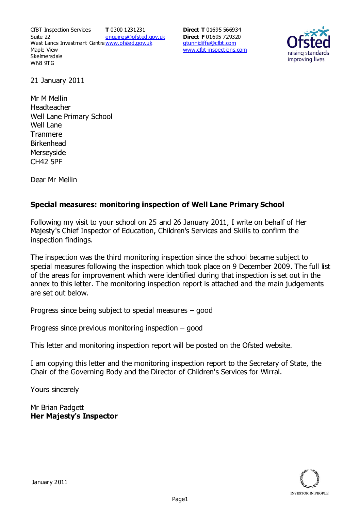CfBT Inspection Services Suite 22 West Lancs Investment Centre<u>www.ofsted.gov.uk</u> Maple View **Skelmersdale** WN8 9TG **T** 0300 1231231 enquiries@ofsted.gov.uk

**Direct T** 01695 566934 **Direct F** 01695 729320 gtunnicliffe@cfbt.com www.cfbt-inspections.com



21 January 2011

Mr M Mellin Headteacher Well Lane Primary School Well Lane Tranmere Birkenhead **Merseyside** CH42 5PF

Dear Mr Mellin

# **Special measures: monitoring inspection of Well Lane Primary School**

Following my visit to your school on 25 and 26 January 2011, I write on behalf of Her Majesty's Chief Inspector of Education, Children's Services and Skills to confirm the inspection findings.

The inspection was the third monitoring inspection since the school became subject to special measures following the inspection which took place on 9 December 2009. The full list of the areas for improvement which were identified during that inspection is set out in the annex to this letter. The monitoring inspection report is attached and the main judgements are set out below.

Progress since being subject to special measures – good

Progress since previous monitoring inspection – good

This letter and monitoring inspection report will be posted on the Ofsted website.

I am copying this letter and the monitoring inspection report to the Secretary of State, the Chair of the Governing Body and the Director of Children's Services for Wirral.

Yours sincerely

Mr Brian Padgett **Her Majesty's Inspector** 

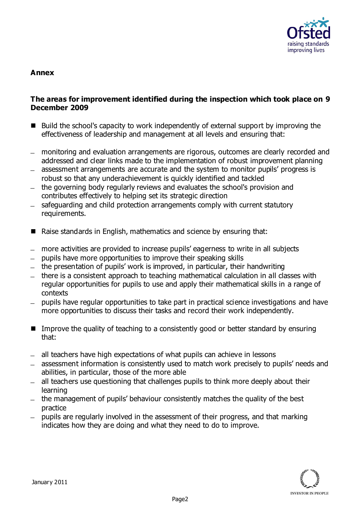

#### **Annex**

#### **The areas for improvement identified during the inspection which took place on 9 December 2009**

- Build the school's capacity to work independently of external support by improving the effectiveness of leadership and management at all levels and ensuring that:
- monitoring and evaluation arrangements are rigorous, outcomes are clearly recorded and addressed and clear links made to the implementation of robust improvement planning
- assessment arrangements are accurate and the system to monitor pupils' progress is robust so that any underachievement is quickly identified and tackled
- the governing body regularly reviews and evaluates the school's provision and contributes effectively to helping set its strategic direction
- safeguarding and child protection arrangements comply with current statutory  $\equiv$ requirements.
- Raise standards in English, mathematics and science by ensuring that:
- more activities are provided to increase pupils' eagerness to write in all subjects
- pupils have more opportunities to improve their speaking skills
- $-$  the presentation of pupils' work is improved, in particular, their handwriting
- there is a consistent approach to teaching mathematical calculation in all classes with regular opportunities for pupils to use and apply their mathematical skills in a range of contexts
- pupils have regular opportunities to take part in practical science investigations and have more opportunities to discuss their tasks and record their work independently.
- Improve the quality of teaching to a consistently good or better standard by ensuring that:
- all teachers have high expectations of what pupils can achieve in lessons
- assessment information is consistently used to match work precisely to pupils' needs and abilities, in particular, those of the more able
- all teachers use questioning that challenges pupils to think more deeply about their  $\equiv$ learning
- the management of pupils' behaviour consistently matches the quality of the best practice
- pupils are regularly involved in the assessment of their progress, and that marking indicates how they are doing and what they need to do to improve.

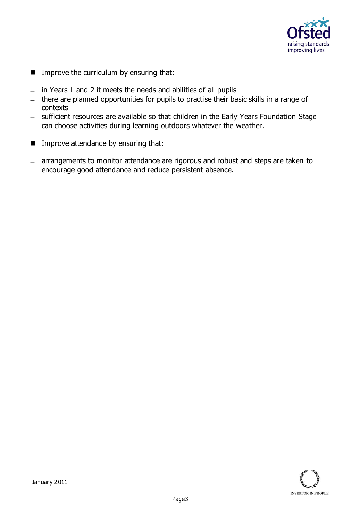

- **IMPROVE the curriculum by ensuring that:**
- $-$  in Years 1 and 2 it meets the needs and abilities of all pupils
- there are planned opportunities for pupils to practise their basic skills in a range of contexts
- sufficient resources are available so that children in the Early Years Foundation Stage can choose activities during learning outdoors whatever the weather.
- **IMPROVE attendance by ensuring that:**
- arrangements to monitor attendance are rigorous and robust and steps are taken to encourage good attendance and reduce persistent absence.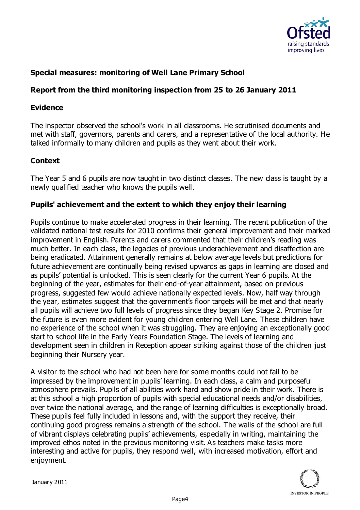

## **Special measures: monitoring of Well Lane Primary School**

## **Report from the third monitoring inspection from 25 to 26 January 2011**

#### **Evidence**

The inspector observed the school's work in all classrooms. He scrutinised documents and met with staff, governors, parents and carers, and a representative of the local authority. He talked informally to many children and pupils as they went about their work.

## **Context**

The Year 5 and 6 pupils are now taught in two distinct classes. The new class is taught by a newly qualified teacher who knows the pupils well.

### **Pupils' achievement and the extent to which they enjoy their learning**

Pupils continue to make accelerated progress in their learning. The recent publication of the validated national test results for 2010 confirms their general improvement and their marked improvement in English. Parents and carers commented that their children's reading was much better. In each class, the legacies of previous underachievement and disaffection are being eradicated. Attainment generally remains at below average levels but predictions for future achievement are continually being revised upwards as gaps in learning are closed and as pupils' potential is unlocked. This is seen clearly for the current Year 6 pupils. At the beginning of the year, estimates for their end-of-year attainment, based on previous progress, suggested few would achieve nationally expected levels. Now, half way through the year, estimates suggest that the government's floor targets will be met and that nearly all pupils will achieve two full levels of progress since they began Key Stage 2. Promise for the future is even more evident for young children entering Well Lane. These children have no experience of the school when it was struggling. They are enjoying an exceptionally good start to school life in the Early Years Foundation Stage. The levels of learning and development seen in children in Reception appear striking against those of the children just beginning their Nursery year.

A visitor to the school who had not been here for some months could not fail to be impressed by the improvement in pupils' learning. In each class, a calm and purposeful atmosphere prevails. Pupils of all abilities work hard and show pride in their work. There is at this school a high proportion of pupils with special educational needs and/or disabilities, over twice the national average, and the range of learning difficulties is exceptionally broad. These pupils feel fully included in lessons and, with the support they receive, their continuing good progress remains a strength of the school. The walls of the school are full of vibrant displays celebrating pupils' achievements, especially in writing, maintaining the improved ethos noted in the previous monitoring visit. As teachers make tasks more interesting and active for pupils, they respond well, with increased motivation, effort and enjoyment.

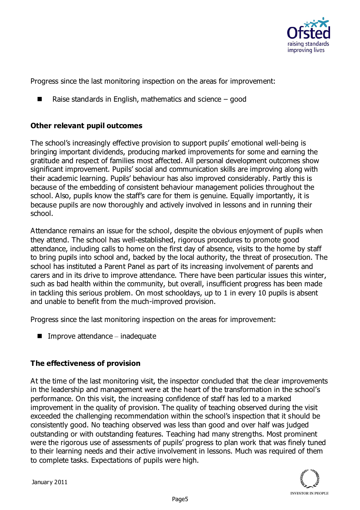

Progress since the last monitoring inspection on the areas for improvement:

■ Raise standards in English, mathematics and science  $-$  good

## **Other relevant pupil outcomes**

The school's increasingly effective provision to support pupils' emotional well-being is bringing important dividends, producing marked improvements for some and earning the gratitude and respect of families most affected. All personal development outcomes show significant improvement. Pupils' social and communication skills are improving along with their academic learning. Pupils' behaviour has also improved considerably. Partly this is because of the embedding of consistent behaviour management policies throughout the school. Also, pupils know the staff's care for them is genuine. Equally importantly, it is because pupils are now thoroughly and actively involved in lessons and in running their school.

Attendance remains an issue for the school, despite the obvious enjoyment of pupils when they attend. The school has well-established, rigorous procedures to promote good attendance, including calls to home on the first day of absence, visits to the home by staff to bring pupils into school and, backed by the local authority, the threat of prosecution. The school has instituted a Parent Panel as part of its increasing involvement of parents and carers and in its drive to improve attendance. There have been particular issues this winter, such as bad health within the community, but overall, insufficient progress has been made in tackling this serious problem. On most schooldays, up to 1 in every 10 pupils is absent and unable to benefit from the much-improved provision.

Progress since the last monitoring inspection on the areas for improvement:

 $\blacksquare$  Improve attendance – inadequate

# **The effectiveness of provision**

At the time of the last monitoring visit, the inspector concluded that the clear improvements in the leadership and management were at the heart of the transformation in the school's performance. On this visit, the increasing confidence of staff has led to a marked improvement in the quality of provision. The quality of teaching observed during the visit exceeded the challenging recommendation within the school's inspection that it should be consistently good. No teaching observed was less than good and over half was judged outstanding or with outstanding features. Teaching had many strengths. Most prominent were the rigorous use of assessments of pupils' progress to plan work that was finely tuned to their learning needs and their active involvement in lessons. Much was required of them to complete tasks. Expectations of pupils were high.

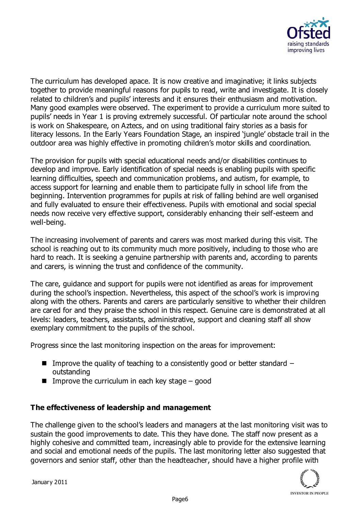

The curriculum has developed apace. It is now creative and imaginative; it links subjects together to provide meaningful reasons for pupils to read, write and investigate. It is closely related to children's and pupils' interests and it ensures their enthusiasm and motivation. Many good examples were observed. The experiment to provide a curriculum more suited to pupils' needs in Year 1 is proving extremely successful. Of particular note around the school is work on Shakespeare, on Aztecs, and on using traditional fairy stories as a basis for literacy lessons. In the Early Years Foundation Stage, an inspired 'jungle' obstacle trail in the outdoor area was highly effective in promoting children's motor skills and coordination.

The provision for pupils with special educational needs and/or disabilities continues to develop and improve. Early identification of special needs is enabling pupils with specific learning difficulties, speech and communication problems, and autism, for example, to access support for learning and enable them to participate fully in school life from the beginning. Intervention programmes for pupils at risk of falling behind are well organised and fully evaluated to ensure their effectiveness. Pupils with emotional and social special needs now receive very effective support, considerably enhancing their self-esteem and well-being.

The increasing involvement of parents and carers was most marked during this visit. The school is reaching out to its community much more positively, including to those who are hard to reach. It is seeking a genuine partnership with parents and, according to parents and carers, is winning the trust and confidence of the community.

The care, guidance and support for pupils were not identified as areas for improvement during the school's inspection. Nevertheless, this aspect of the school's work is improving along with the others. Parents and carers are particularly sensitive to whether their children are cared for and they praise the school in this respect. Genuine care is demonstrated at all levels: leaders, teachers, assistants, administrative, support and cleaning staff all show exemplary commitment to the pupils of the school.

Progress since the last monitoring inspection on the areas for improvement:

- **IMPROVE the quality of teaching to a consistently good or better standard** outstanding
- Improve the curriculum in each key stage  $-$  good

### **The effectiveness of leadership and management**

The challenge given to the school's leaders and managers at the last monitoring visit was to sustain the good improvements to date. This they have done. The staff now present as a highly cohesive and committed team, increasingly able to provide for the extensive learning and social and emotional needs of the pupils. The last monitoring letter also suggested that governors and senior staff, other than the headteacher, should have a higher profile with